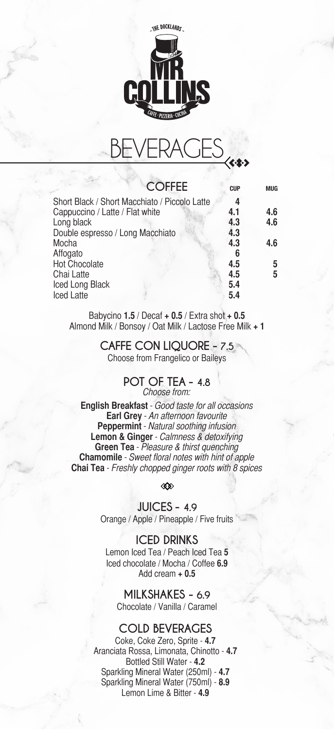



|                                  | <b>COFFEE</b>                                 | <b>CUP</b> | <b>MUG</b> |
|----------------------------------|-----------------------------------------------|------------|------------|
|                                  | Short Black / Short Macchiato / Piccolo Latte | 4          |            |
| Cappuccino / Latte / Flat white  |                                               | 4.1        | 4.6        |
| Long black                       |                                               | 4.3        | 4.6        |
| Double espresso / Long Macchiato |                                               | 4.3        |            |
| Mocha                            |                                               | 4.3        | 4.6        |
| Affogato                         |                                               | 6          |            |
| <b>Hot Chocolate</b>             |                                               | 4.5        | 5          |
| Chai Latte                       |                                               | 4.5        | 5          |
| Iced Long Black                  |                                               | 5.4        |            |
| <b>Iced Latte</b>                |                                               | 5.4        |            |
|                                  |                                               |            |            |

Babycino **1.5** / Decaf **+ 0.5** / Extra shot **+ 0.5** Almond Milk / Bonsoy / Oat Milk / Lactose Free Milk **+ 1**

### **CAFFE CON LIQUORE - 7.5**

Choose from Frangelico or Baileys

**POT OF TEA - 4.8** Choose from:

**English Breakfast** - Good taste for all occasions **Earl Grey** - An afternoon favourite **Peppermint** - Natural soothing infusion **Lemon & Ginger** - Calmness & detoxifying **Green Tea** - Pleasure & thirst quenching **Chamomile** - Sweet floral notes with hint of apple **Chai Tea** - Freshly chopped ginger roots with 8 spices

≪≫

**JUICES - 4.9** Orange / Apple / Pineapple / Five fruits

**ICED DRINKS** Lemon Iced Tea / Peach Iced Tea **5** Iced chocolate / Mocha / Coffee **6.9** Add cream **+ 0.5**

**MILKSHAKES - 6.9** Chocolate / Vanilla / Caramel

# **COLD BEVERAGES**

Coke, Coke Zero, Sprite - **4.7** Aranciata Rossa, Limonata, Chinotto - **4.7** Bottled Still Water - **4.2** Sparkling Mineral Water (250ml) - **4.7** Sparkling Mineral Water (750ml) - **8.9** Lemon Lime & Bitter - **4.9**